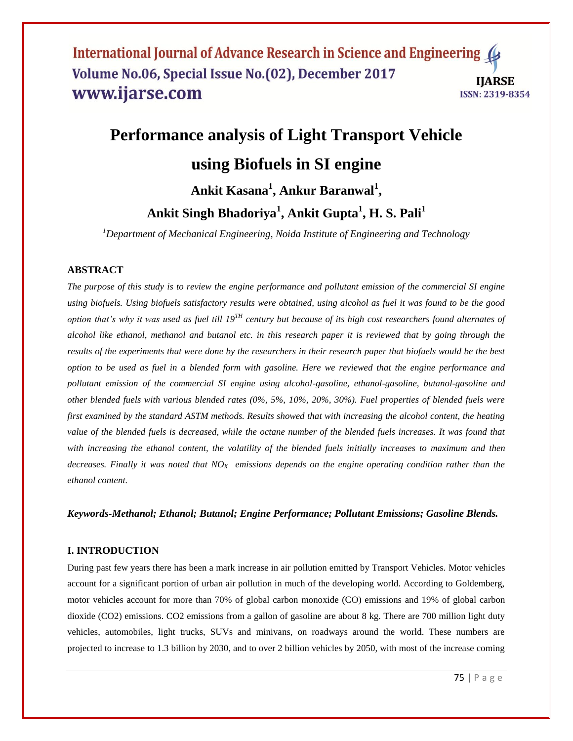# **Performance analysis of Light Transport Vehicle using Biofuels in SI engine Ankit Kasana<sup>1</sup> , Ankur Baranwal<sup>1</sup> ,**

# **Ankit Singh Bhadoriya<sup>1</sup> , Ankit Gupta<sup>1</sup> , H. S. Pali<sup>1</sup>**

*<sup>1</sup>Department of Mechanical Engineering, Noida Institute of Engineering and Technology*

# **ABSTRACT**

*The purpose of this study is to review the engine performance and pollutant emission of the commercial SI engine using biofuels. Using biofuels satisfactory results were obtained, using alcohol as fuel it was found to be the good option that's why it was used as fuel till 19TH century but because of its high cost researchers found alternates of alcohol like ethanol, methanol and butanol etc. in this research paper it is reviewed that by going through the results of the experiments that were done by the researchers in their research paper that biofuels would be the best option to be used as fuel in a blended form with gasoline. Here we reviewed that the engine performance and pollutant emission of the commercial SI engine using alcohol-gasoline, ethanol-gasoline, butanol-gasoline and other blended fuels with various blended rates (0%, 5%, 10%, 20%, 30%). Fuel properties of blended fuels were first examined by the standard ASTM methods. Results showed that with increasing the alcohol content, the heating value of the blended fuels is decreased, while the octane number of the blended fuels increases. It was found that* with increasing the ethanol content, the volatility of the blended fuels initially increases to maximum and then *decreases. Finally it was noted that NOX emissions depends on the engine operating condition rather than the ethanol content.*

#### *Keywords-Methanol; Ethanol; Butanol; Engine Performance; Pollutant Emissions; Gasoline Blends.*

#### **I. INTRODUCTION**

During past few years there has been a mark increase in air pollution emitted by Transport Vehicles. Motor vehicles account for a significant portion of urban air pollution in much of the developing world. According to Goldemberg, motor vehicles account for more than 70% of global carbon monoxide (CO) emissions and 19% of global carbon dioxide (CO2) emissions. CO2 emissions from a gallon of gasoline are about 8 kg. There are 700 million light duty vehicles, automobiles, light trucks, SUVs and minivans, on roadways around the world. These numbers are projected to increase to 1.3 billion by 2030, and to over 2 billion vehicles by 2050, with most of the increase coming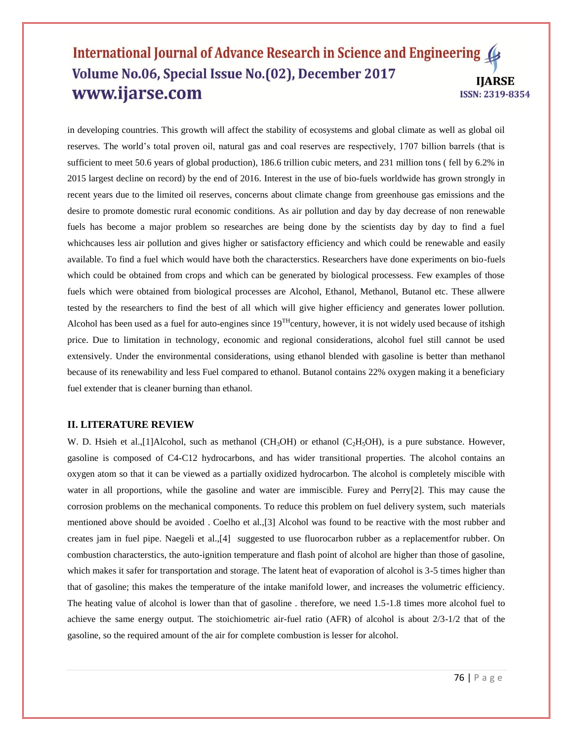in developing countries. This growth will affect the stability of ecosystems and global climate as well as global oil reserves. The world's total proven oil, natural gas and coal reserves are respectively, 1707 billion barrels (that is sufficient to meet 50.6 years of global production), 186.6 trillion cubic meters, and 231 million tons ( fell by 6.2% in 2015 largest decline on record) by the end of 2016. Interest in the use of bio-fuels worldwide has grown strongly in recent years due to the limited oil reserves, concerns about climate change from greenhouse gas emissions and the desire to promote domestic rural economic conditions. As air pollution and day by day decrease of non renewable fuels has become a major problem so researches are being done by the scientists day by day to find a fuel whichcauses less air pollution and gives higher or satisfactory efficiency and which could be renewable and easily available. To find a fuel which would have both the characterstics. Researchers have done experiments on bio-fuels which could be obtained from crops and which can be generated by biological processess. Few examples of those fuels which were obtained from biological processes are Alcohol, Ethanol, Methanol, Butanol etc. These allwere tested by the researchers to find the best of all which will give higher efficiency and generates lower pollution. Alcohol has been used as a fuel for auto-engines since  $19^{TH}$ century, however, it is not widely used because of itshigh price. Due to limitation in technology, economic and regional considerations, alcohol fuel still cannot be used extensively. Under the environmental considerations, using ethanol blended with gasoline is better than methanol because of its renewability and less Fuel compared to ethanol. Butanol contains 22% oxygen making it a beneficiary fuel extender that is cleaner burning than ethanol.

#### **II. LITERATURE REVIEW**

W. D. Hsieh et al.,[1]Alcohol, such as methanol (CH<sub>3</sub>OH) or ethanol (C<sub>2</sub>H<sub>5</sub>OH), is a pure substance. However, gasoline is composed of C4-C12 hydrocarbons, and has wider transitional properties. The alcohol contains an oxygen atom so that it can be viewed as a partially oxidized hydrocarbon. The alcohol is completely miscible with water in all proportions, while the gasoline and water are immiscible. Furey and Perry[2]. This may cause the corrosion problems on the mechanical components. To reduce this problem on fuel delivery system, such materials mentioned above should be avoided . Coelho et al.,[3] Alcohol was found to be reactive with the most rubber and creates jam in fuel pipe. Naegeli et al.,[4] suggested to use fluorocarbon rubber as a replacementfor rubber. On combustion characterstics, the auto-ignition temperature and flash point of alcohol are higher than those of gasoline, which makes it safer for transportation and storage. The latent heat of evaporation of alcohol is 3-5 times higher than that of gasoline; this makes the temperature of the intake manifold lower, and increases the volumetric efficiency. The heating value of alcohol is lower than that of gasoline . therefore, we need 1.5-1.8 times more alcohol fuel to achieve the same energy output. The stoichiometric air-fuel ratio (AFR) of alcohol is about 2/3-1/2 that of the gasoline, so the required amount of the air for complete combustion is lesser for alcohol.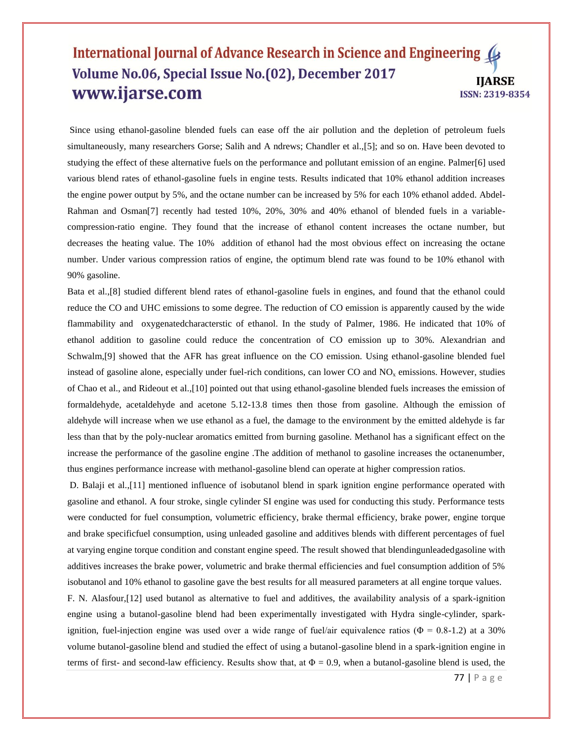Since using ethanol-gasoline blended fuels can ease off the air pollution and the depletion of petroleum fuels simultaneously, many researchers Gorse; Salih and A ndrews; Chandler et al.,[5]; and so on. Have been devoted to studying the effect of these alternative fuels on the performance and pollutant emission of an engine. Palmer[6] used various blend rates of ethanol-gasoline fuels in engine tests. Results indicated that 10% ethanol addition increases the engine power output by 5%, and the octane number can be increased by 5% for each 10% ethanol added. Abdel-Rahman and Osman[7] recently had tested 10%, 20%, 30% and 40% ethanol of blended fuels in a variablecompression-ratio engine. They found that the increase of ethanol content increases the octane number, but decreases the heating value. The 10% addition of ethanol had the most obvious effect on increasing the octane number. Under various compression ratios of engine, the optimum blend rate was found to be 10% ethanol with 90% gasoline.

Bata et al.,[8] studied different blend rates of ethanol-gasoline fuels in engines, and found that the ethanol could reduce the CO and UHC emissions to some degree. The reduction of CO emission is apparently caused by the wide flammability and oxygenatedcharacterstic of ethanol. In the study of Palmer, 1986. He indicated that 10% of ethanol addition to gasoline could reduce the concentration of CO emission up to 30%. Alexandrian and Schwalm,[9] showed that the AFR has great influence on the CO emission. Using ethanol-gasoline blended fuel instead of gasoline alone, especially under fuel-rich conditions, can lower CO and  $NO<sub>x</sub>$  emissions. However, studies of Chao et al., and Rideout et al.,[10] pointed out that using ethanol-gasoline blended fuels increases the emission of formaldehyde, acetaldehyde and acetone 5.12-13.8 times then those from gasoline. Although the emission of aldehyde will increase when we use ethanol as a fuel, the damage to the environment by the emitted aldehyde is far less than that by the poly-nuclear aromatics emitted from burning gasoline. Methanol has a significant effect on the increase the performance of the gasoline engine .The addition of methanol to gasoline increases the octanenumber, thus engines performance increase with methanol-gasoline blend can operate at higher compression ratios.

D. Balaji et al.,[11] mentioned influence of isobutanol blend in spark ignition engine performance operated with gasoline and ethanol. A four stroke, single cylinder SI engine was used for conducting this study. Performance tests were conducted for fuel consumption, volumetric efficiency, brake thermal efficiency, brake power, engine torque and brake specificfuel consumption, using unleaded gasoline and additives blends with different percentages of fuel at varying engine torque condition and constant engine speed. The result showed that blendingunleadedgasoline with additives increases the brake power, volumetric and brake thermal efficiencies and fuel consumption addition of 5% isobutanol and 10% ethanol to gasoline gave the best results for all measured parameters at all engine torque values.

F. N. Alasfour,[12] used butanol as alternative to fuel and additives, the availability analysis of a spark-ignition engine using a butanol-gasoline blend had been experimentally investigated with Hydra single-cylinder, sparkignition, fuel-injection engine was used over a wide range of fuel/air equivalence ratios ( $\Phi = 0.8$ -1.2) at a 30% volume butanol-gasoline blend and studied the effect of using a butanol-gasoline blend in a spark-ignition engine in terms of first- and second-law efficiency. Results show that, at  $\Phi = 0.9$ , when a butanol-gasoline blend is used, the

77 | P a g e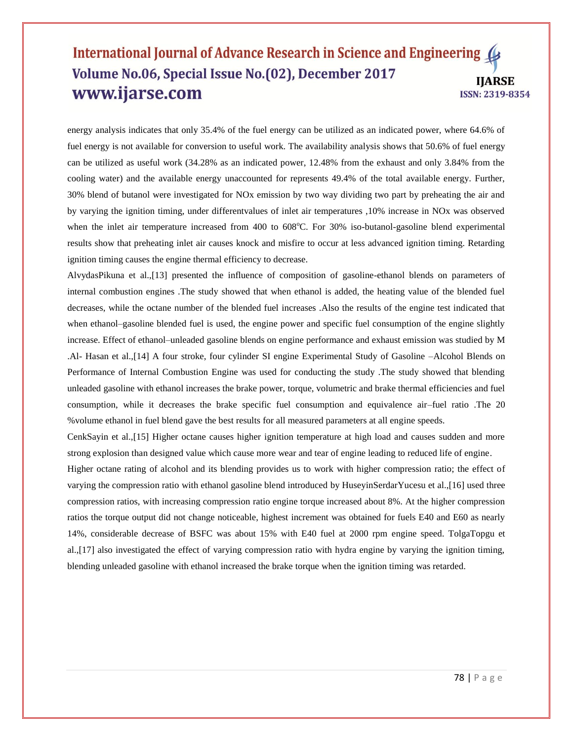energy analysis indicates that only 35.4% of the fuel energy can be utilized as an indicated power, where 64.6% of fuel energy is not available for conversion to useful work. The availability analysis shows that 50.6% of fuel energy can be utilized as useful work (34.28% as an indicated power, 12.48% from the exhaust and only 3.84% from the cooling water) and the available energy unaccounted for represents 49.4% of the total available energy. Further, 30% blend of butanol were investigated for NOx emission by two way dividing two part by preheating the air and by varying the ignition timing, under differentvalues of inlet air temperatures ,10% increase in NOx was observed when the inlet air temperature increased from  $400$  to  $608^{\circ}$ C. For  $30\%$  iso-butanol-gasoline blend experimental results show that preheating inlet air causes knock and misfire to occur at less advanced ignition timing. Retarding ignition timing causes the engine thermal efficiency to decrease.

AlvydasPikuna et al.,[13] presented the influence of composition of gasoline-ethanol blends on parameters of internal combustion engines .The study showed that when ethanol is added, the heating value of the blended fuel decreases, while the octane number of the blended fuel increases .Also the results of the engine test indicated that when ethanol–gasoline blended fuel is used, the engine power and specific fuel consumption of the engine slightly increase. Effect of ethanol–unleaded gasoline blends on engine performance and exhaust emission was studied by M .Al- Hasan et al.,[14] A four stroke, four cylinder SI engine Experimental Study of Gasoline –Alcohol Blends on Performance of Internal Combustion Engine was used for conducting the study .The study showed that blending unleaded gasoline with ethanol increases the brake power, torque, volumetric and brake thermal efficiencies and fuel consumption, while it decreases the brake specific fuel consumption and equivalence air–fuel ratio .The 20 %volume ethanol in fuel blend gave the best results for all measured parameters at all engine speeds.

CenkSayin et al.,[15] Higher octane causes higher ignition temperature at high load and causes sudden and more strong explosion than designed value which cause more wear and tear of engine leading to reduced life of engine.

Higher octane rating of alcohol and its blending provides us to work with higher compression ratio; the effect of varying the compression ratio with ethanol gasoline blend introduced by HuseyinSerdarYucesu et al.,[16] used three compression ratios, with increasing compression ratio engine torque increased about 8%. At the higher compression ratios the torque output did not change noticeable, highest increment was obtained for fuels E40 and E60 as nearly 14%, considerable decrease of BSFC was about 15% with E40 fuel at 2000 rpm engine speed. TolgaTopgu et al.,[17] also investigated the effect of varying compression ratio with hydra engine by varying the ignition timing, blending unleaded gasoline with ethanol increased the brake torque when the ignition timing was retarded.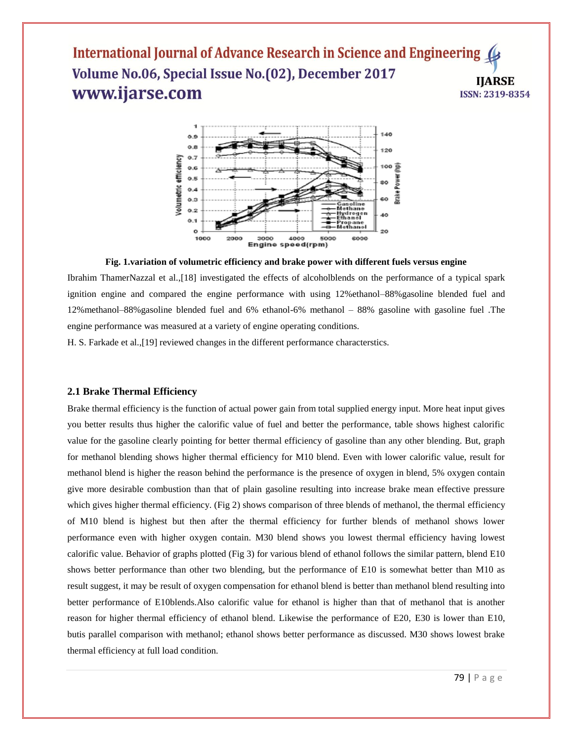

#### **Fig. 1.variation of volumetric efficiency and brake power with different fuels versus engine**

Ibrahim ThamerNazzal et al.,[18] investigated the effects of alcoholblends on the performance of a typical spark ignition engine and compared the engine performance with using 12%ethanol–88%gasoline blended fuel and 12%methanol–88%gasoline blended fuel and 6% ethanol-6% methanol – 88% gasoline with gasoline fuel .The engine performance was measured at a variety of engine operating conditions.

H. S. Farkade et al.,[19] reviewed changes in the different performance characterstics.

#### **2.1 Brake Thermal Efficiency**

Brake thermal efficiency is the function of actual power gain from total supplied energy input. More heat input gives you better results thus higher the calorific value of fuel and better the performance, table shows highest calorific value for the gasoline clearly pointing for better thermal efficiency of gasoline than any other blending. But, graph for methanol blending shows higher thermal efficiency for M10 blend. Even with lower calorific value, result for methanol blend is higher the reason behind the performance is the presence of oxygen in blend, 5% oxygen contain give more desirable combustion than that of plain gasoline resulting into increase brake mean effective pressure which gives higher thermal efficiency. (Fig 2) shows comparison of three blends of methanol, the thermal efficiency of M10 blend is highest but then after the thermal efficiency for further blends of methanol shows lower performance even with higher oxygen contain. M30 blend shows you lowest thermal efficiency having lowest calorific value. Behavior of graphs plotted (Fig 3) for various blend of ethanol follows the similar pattern, blend E10 shows better performance than other two blending, but the performance of E10 is somewhat better than M10 as result suggest, it may be result of oxygen compensation for ethanol blend is better than methanol blend resulting into better performance of E10blends.Also calorific value for ethanol is higher than that of methanol that is another reason for higher thermal efficiency of ethanol blend. Likewise the performance of E20, E30 is lower than E10, butis parallel comparison with methanol; ethanol shows better performance as discussed. M30 shows lowest brake thermal efficiency at full load condition.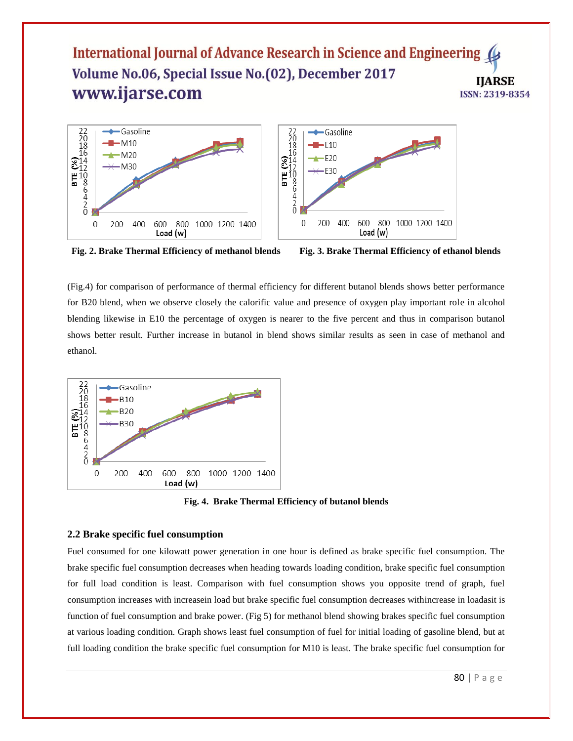



**Fig. 2. Brake Thermal Efficiency of methanol blends Fig. 3. Brake Thermal Efficiency of ethanol blends**

(Fig.4) for comparison of performance of thermal efficiency for different butanol blends shows better performance for B20 blend, when we observe closely the calorific value and presence of oxygen play important role in alcohol blending likewise in E10 the percentage of oxygen is nearer to the five percent and thus in comparison butanol shows better result. Further increase in butanol in blend shows similar results as seen in case of methanol and ethanol.



**Fig. 4. Brake Thermal Efficiency of butanol blends**

#### **2.2 Brake specific fuel consumption**

Fuel consumed for one kilowatt power generation in one hour is defined as brake specific fuel consumption. The brake specific fuel consumption decreases when heading towards loading condition, brake specific fuel consumption for full load condition is least. Comparison with fuel consumption shows you opposite trend of graph, fuel consumption increases with increasein load but brake specific fuel consumption decreases withincrease in loadasit is function of fuel consumption and brake power. (Fig 5) for methanol blend showing brakes specific fuel consumption at various loading condition. Graph shows least fuel consumption of fuel for initial loading of gasoline blend, but at full loading condition the brake specific fuel consumption for M10 is least. The brake specific fuel consumption for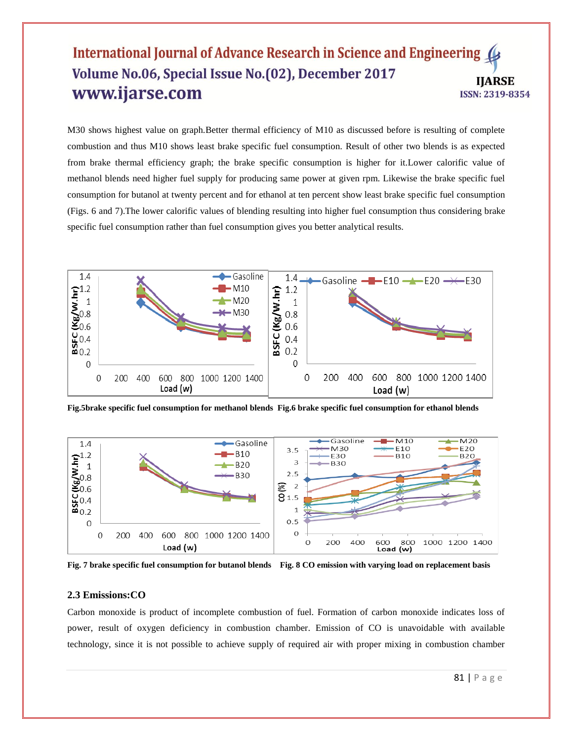M30 shows highest value on graph.Better thermal efficiency of M10 as discussed before is resulting of complete combustion and thus M10 shows least brake specific fuel consumption. Result of other two blends is as expected from brake thermal efficiency graph; the brake specific consumption is higher for it.Lower calorific value of methanol blends need higher fuel supply for producing same power at given rpm. Likewise the brake specific fuel consumption for butanol at twenty percent and for ethanol at ten percent show least brake specific fuel consumption (Figs. 6 and 7).The lower calorific values of blending resulting into higher fuel consumption thus considering brake specific fuel consumption rather than fuel consumption gives you better analytical results.



**Fig.5brake specific fuel consumption for methanol blends Fig.6 brake specific fuel consumption for ethanol blends**



**Fig. 7 brake specific fuel consumption for butanol blends Fig. 8 CO emission with varying load on replacement basis**

#### **2.3 Emissions:CO**

Carbon monoxide is product of incomplete combustion of fuel. Formation of carbon monoxide indicates loss of power, result of oxygen deficiency in combustion chamber. Emission of CO is unavoidable with available technology, since it is not possible to achieve supply of required air with proper mixing in combustion chamber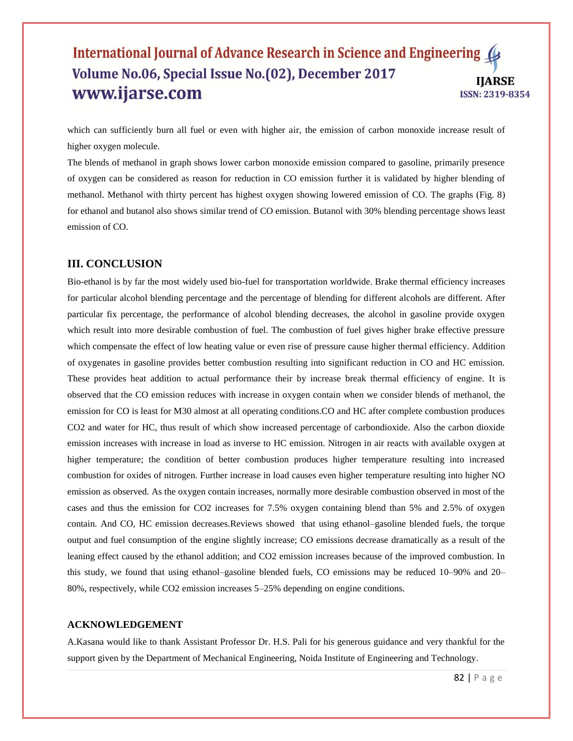which can sufficiently burn all fuel or even with higher air, the emission of carbon monoxide increase result of higher oxygen molecule.

The blends of methanol in graph shows lower carbon monoxide emission compared to gasoline, primarily presence of oxygen can be considered as reason for reduction in CO emission further it is validated by higher blending of methanol. Methanol with thirty percent has highest oxygen showing lowered emission of CO. The graphs (Fig. 8) for ethanol and butanol also shows similar trend of CO emission. Butanol with 30% blending percentage shows least emission of CO.

# **III. CONCLUSION**

Bio-ethanol is by far the most widely used bio-fuel for transportation worldwide. Brake thermal efficiency increases for particular alcohol blending percentage and the percentage of blending for different alcohols are different. After particular fix percentage, the performance of alcohol blending decreases, the alcohol in gasoline provide oxygen which result into more desirable combustion of fuel. The combustion of fuel gives higher brake effective pressure which compensate the effect of low heating value or even rise of pressure cause higher thermal efficiency. Addition of oxygenates in gasoline provides better combustion resulting into significant reduction in CO and HC emission. These provides heat addition to actual performance their by increase break thermal efficiency of engine. It is observed that the CO emission reduces with increase in oxygen contain when we consider blends of methanol, the emission for CO is least for M30 almost at all operating conditions.CO and HC after complete combustion produces CO2 and water for HC, thus result of which show increased percentage of carbondioxide. Also the carbon dioxide emission increases with increase in load as inverse to HC emission. Nitrogen in air reacts with available oxygen at higher temperature; the condition of better combustion produces higher temperature resulting into increased combustion for oxides of nitrogen. Further increase in load causes even higher temperature resulting into higher NO emission as observed. As the oxygen contain increases, normally more desirable combustion observed in most of the cases and thus the emission for CO2 increases for 7.5% oxygen containing blend than 5% and 2.5% of oxygen contain. And CO, HC emission decreases.Reviews showed that using ethanol–gasoline blended fuels, the torque output and fuel consumption of the engine slightly increase; CO emissions decrease dramatically as a result of the leaning effect caused by the ethanol addition; and CO2 emission increases because of the improved combustion. In this study, we found that using ethanol–gasoline blended fuels, CO emissions may be reduced 10–90% and 20– 80%, respectively, while CO2 emission increases 5–25% depending on engine conditions.

#### **ACKNOWLEDGEMENT**

A.Kasana would like to thank Assistant Professor Dr. H.S. Pali for his generous guidance and very thankful for the support given by the Department of Mechanical Engineering, Noida Institute of Engineering and Technology.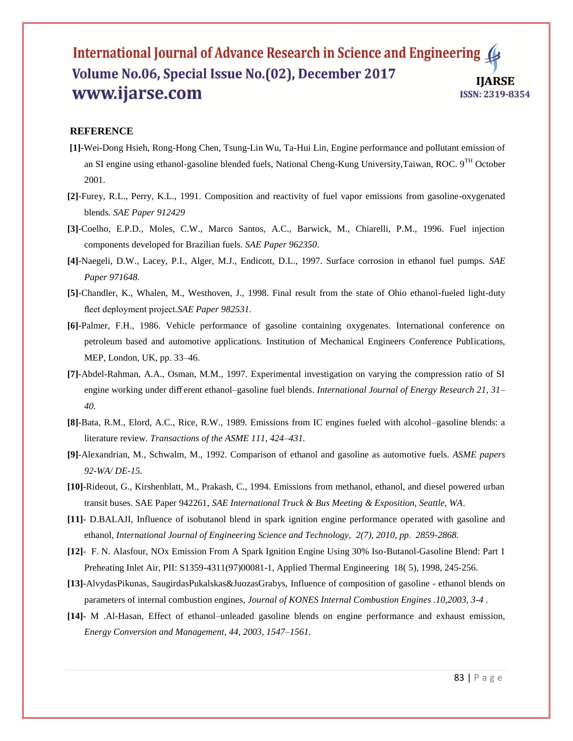### **REFERENCE**

- **[1]-**Wei-Dong Hsieh, Rong-Hong Chen, Tsung-Lin Wu, Ta-Hui Lin, Engine performance and pollutant emission of an SI engine using ethanol-gasoline blended fuels, National Cheng-Kung University,Taiwan, ROC. 9<sup>TH</sup> October 2001.
- **[2]**-Furey, R.L., Perry, K.L., 1991. Composition and reactivity of fuel vapor emissions from gasoline-oxygenated blends*. SAE Paper 912429*
- **[3]**-Coelho, E.P.D., Moles, C.W., Marco Santos, A.C., Barwick, M., Chiarelli, P.M., 1996. Fuel injection components developed for Brazilian fuels. *SAE Paper 962350*.
- **[4]**-Naegeli, D.W., Lacey, P.I., Alger, M.J., Endicott, D.L., 1997. Surface corrosion in ethanol fuel pumps. *SAE Paper 971648.*
- **[5]**-Chandler, K., Whalen, M., Westhoven, J., 1998. Final result from the state of Ohio ethanol-fueled light-duty fleet deployment project*.SAE Paper 982531*.
- **[6]**-Palmer, F.H., 1986. Vehicle performance of gasoline containing oxygenates. International conference on petroleum based and automotive applications. Institution of Mechanical Engineers Conference Publications, MEP, London, UK, pp. 33–46.
- **[7]**-Abdel-Rahman, A.A., Osman, M.M., 1997. Experimental investigation on varying the compression ratio of SI engine working under diff erent ethanol–gasoline fuel blends. *International Journal of Energy Research 21, 31– 40.*
- **[8]**-Bata, R.M., Elord, A.C., Rice, R.W., 1989. Emissions from IC engines fueled with alcohol–gasoline blends: a literature review. *Transactions of the ASME 111, 424–431.*
- **[9]**-Alexandrian, M., Schwalm, M., 1992. Comparison of ethanol and gasoline as automotive fuels. *ASME papers 92-WA/ DE-15.*
- **[10]**-Rideout, G., Kirshenblatt, M., Prakash, C., 1994. Emissions from methanol, ethanol, and diesel powered urban transit buses. SAE Paper 942261, *SAE International Truck & Bus Meeting & Exposition, Seattle, WA*.
- **[11]** D.BALAJI, Influence of isobutanol blend in spark ignition engine performance operated with gasoline and ethanol, *International Journal of Engineering Science and Technology, 2(7), 2010, pp. 2859-2868.*
- **[12]** F. N. Alasfour, NOx Emission From A Spark Ignition Engine Using 30% Iso-Butanol-Gasoline Blend: Part 1 Preheating Inlet Air, PII: S1359-4311(97)00081-1, Applied Thermal Engineering 18( 5), 1998, 245-256.
- **[13]**-AlvydasPikunas, SaugirdasPukalskas&JuozasGrabys, Influence of composition of gasoline ethanol blends on parameters of internal combustion engines, *Journal of KONES Internal Combustion Engines .10,2003, 3-4 .*
- **[14]** M .Al-Hasan, Effect of ethanol–unleaded gasoline blends on engine performance and exhaust emission, *Energy Conversion and Management, 44, 2003, 1547–1561.*